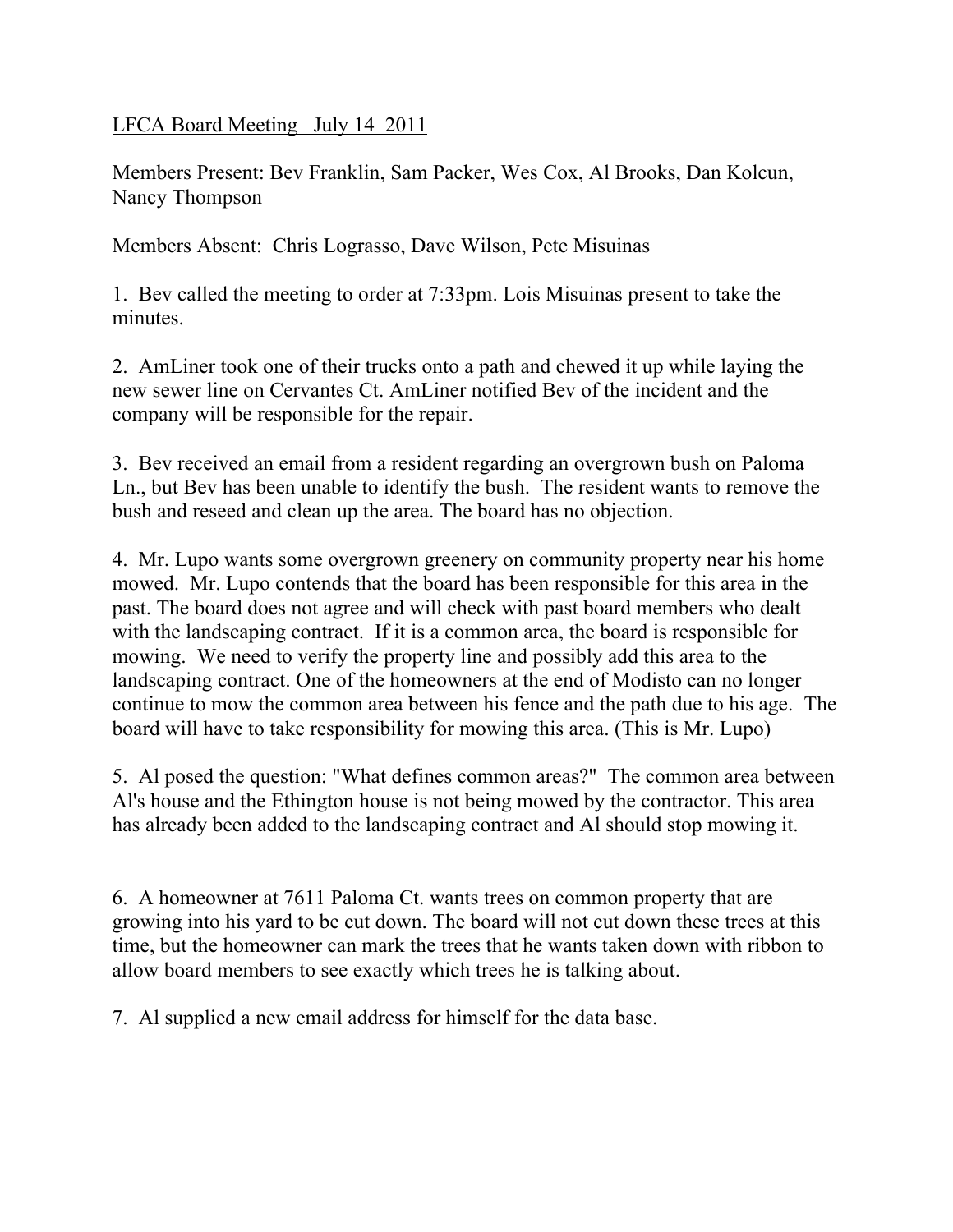LFCA Board Meeting July 14 2011

Members Present: Bev Franklin, Sam Packer, Wes Cox, Al Brooks, Dan Kolcun, Nancy Thompson

Members Absent: Chris Lograsso, Dave Wilson, Pete Misuinas

1. Bev called the meeting to order at 7:33pm. Lois Misuinas present to take the minutes.

2. AmLiner took one of their trucks onto a path and chewed it up while laying the new sewer line on Cervantes Ct. AmLiner notified Bev of the incident and the company will be responsible for the repair.

3. Bev received an email from a resident regarding an overgrown bush on Paloma Ln., but Bev has been unable to identify the bush. The resident wants to remove the bush and reseed and clean up the area. The board has no objection.

4. Mr. Lupo wants some overgrown greenery on community property near his home mowed. Mr. Lupo contends that the board has been responsible for this area in the past. The board does not agree and will check with past board members who dealt with the landscaping contract. If it is a common area, the board is responsible for mowing. We need to verify the property line and possibly add this area to the landscaping contract. One of the homeowners at the end of Modisto can no longer continue to mow the common area between his fence and the path due to his age. The board will have to take responsibility for mowing this area. (This is Mr. Lupo)

5. Al posed the question: "What defines common areas?" The common area between Al's house and the Ethington house is not being mowed by the contractor. This area has already been added to the landscaping contract and Al should stop mowing it.

6. A homeowner at 7611 Paloma Ct. wants trees on common property that are growing into his yard to be cut down. The board will not cut down these trees at this time, but the homeowner can mark the trees that he wants taken down with ribbon to allow board members to see exactly which trees he is talking about.

7. Al supplied a new email address for himself for the data base.